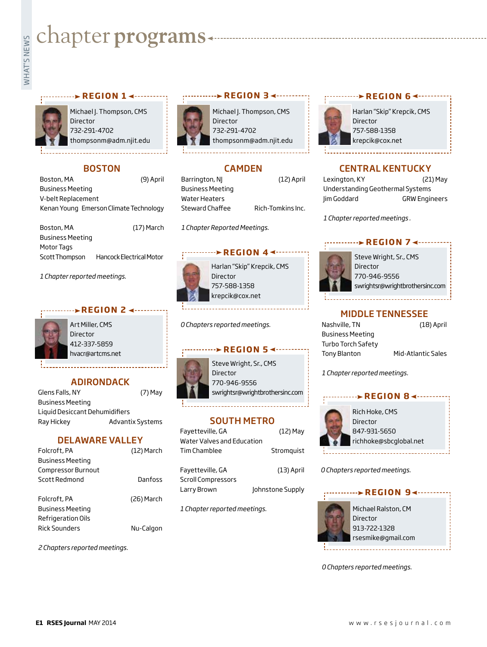# **Example for programs**

#### **PREGION 1 < ··········**



Michael J. Thompson, CMS **Director** 732-291-4702 thompsonm@adm.njit.edu

# **BOSTON**

| Boston, MA                             | (9) April |
|----------------------------------------|-----------|
| <b>Business Meeting</b>                |           |
| V-belt Replacement                     |           |
| Kenan Young Emerson Climate Technology |           |

| Boston, MA              | $(17)$ March             |
|-------------------------|--------------------------|
| <b>Business Meeting</b> |                          |
| Motor Tags              |                          |
| Scott Thompson          | Hancock Electrical Motor |

*1 Chapter reported meetings.*

#### **REGION 2 4 ---**



Art Miller, CMS Director 412-337-5859 hvacr@artcms.net

# ADIRONDACK

| Glens Falls, NY                | $(7)$ May               |
|--------------------------------|-------------------------|
| <b>Business Meeting</b>        |                         |
| Liguid Desiccant Dehumidifiers |                         |
| Ray Hickey                     | <b>Advantix Systems</b> |

#### DELAWARE VALLEY

| Folcroft, PA            | $(12)$ March |
|-------------------------|--------------|
| <b>Business Meeting</b> |              |
| Compressor Burnout      |              |
| Scott Redmond           | Danfoss      |
| Folcroft, PA            | (26) March   |
| <b>Business Meeting</b> |              |
| Refrigeration Oils      |              |
| <b>Rick Sounders</b>    | Nu-Calgon    |

*2 Chapters reported meetings.*



Michael J. Thompson, CMS Director 732-291-4702 thompsonm@adm.njit.edu

**REGION 3**

# CAMDEN

Barrington, NJ (12) April Business Meeting Water Heaters Steward Chaffee Rich-Tomkins Inc.

*1 Chapter Reported Meetings.*

#### **REGION 4 <------>**



Harlan "Skip" Krepcik, CMS Director 757-588-1358 krepcik@cox.net

*0 Chapters reported meetings.*

#### **REGION 5 <--------**



swrightsr@wrightbrothersinc.com

## SOUTH METRO

| Favetteville, GA           | $(12)$ May       |
|----------------------------|------------------|
| Water Valves and Education |                  |
| Tim Chamblee               | Stromquist       |
|                            |                  |
| Favetteville, GA           | $(13)$ April     |
| <b>Scroll Compressors</b>  |                  |
| Larry Brown                | Johnstone Supply |

*1 Chapter reported meetings.*

# **REGION 6**



# CENTRAL KENTUCKY

| Lexington, KY                    | (21) May             |
|----------------------------------|----------------------|
| Understanding Geothermal Systems |                      |
| lim Goddard                      | <b>GRW Engineers</b> |

*1 Chapter reported meetings .*

# **REGION 7 <--------**



Steve Wright, Sr., CMS Director 770-946-9556 swrightsr@wrightbrothersinc.com

# MIDDLE TENNESSEE

| Nashville, TN           |   |
|-------------------------|---|
| <b>Business Meeting</b> |   |
| Turbo Torch Safety      |   |
| <b>Tony Blanton</b>     | Ν |

(18) April

**Iid-Atlantic Sales** 

*1 Chapter reported meetings.*



*0 Chapters reported meetings.*



*0 Chapters reported meetings.*